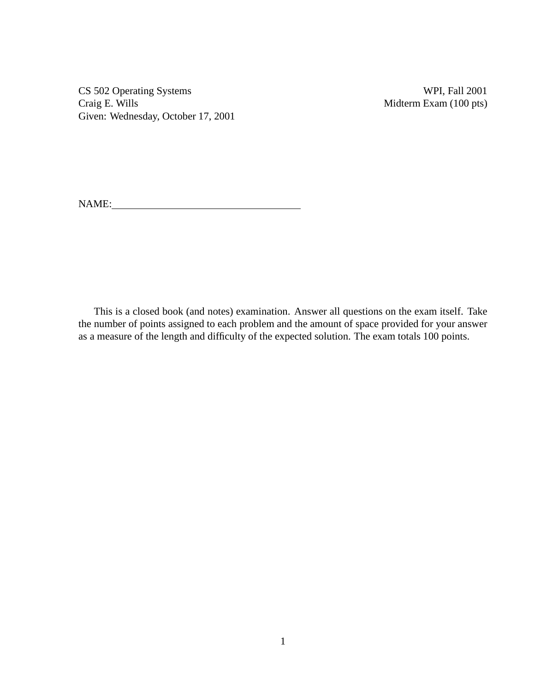CS 502 Operating Systems WPI, Fall 2001<br>Craig E. Wills Midterm Exam (100 pts) Given: Wednesday, October 17, 2001

Midterm Exam (100 pts)

NAME:

This is a closed book (and notes) examination. Answer all questions on the exam itself. Take the number of points assigned to each problem and the amount of space provided for your answer as a measure of the length and difficulty of the expected solution. The exam totals 100 points.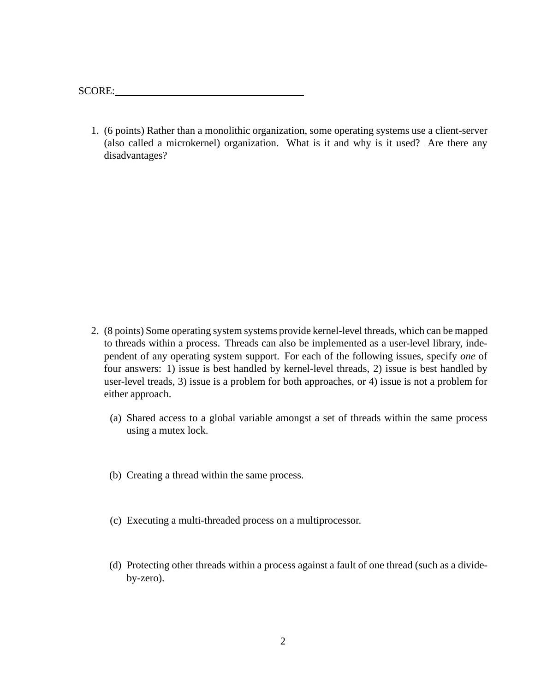SCORE:

1. (6 points) Rather than a monolithic organization, some operating systems use a client-server (also called a microkernel) organization. What is it and why is it used? Are there any disadvantages?

- 2. (8 points) Some operating system systems provide kernel-level threads, which can be mapped to threads within a process. Threads can also be implemented as a user-level library, independent of any operating system support. For each of the following issues, specify *one* of four answers: 1) issue is best handled by kernel-level threads, 2) issue is best handled by user-level treads, 3) issue is a problem for both approaches, or 4) issue is not a problem for either approach.
	- (a) Shared access to a global variable amongst a set of threads within the same process using a mutex lock.
	- (b) Creating a thread within the same process.
	- (c) Executing a multi-threaded process on a multiprocessor.
	- (d) Protecting other threads within a process against a fault of one thread (such as a divideby-zero).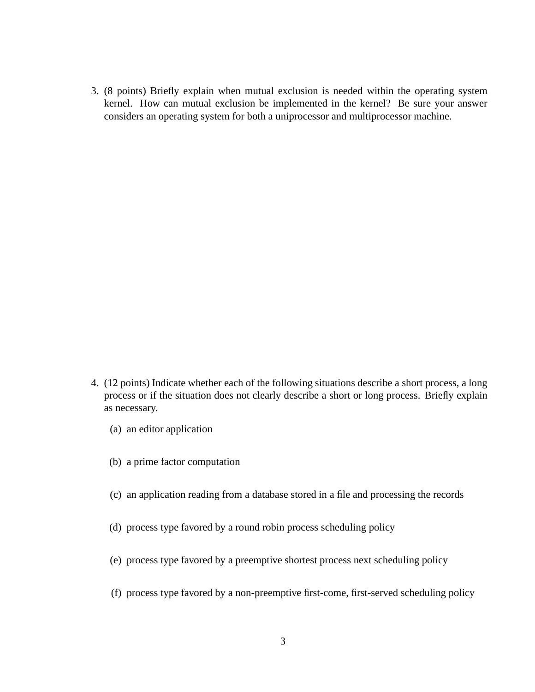3. (8 points) Briefly explain when mutual exclusion is needed within the operating system kernel. How can mutual exclusion be implemented in the kernel? Be sure your answer considers an operating system for both a uniprocessor and multiprocessor machine.

- 4. (12 points) Indicate whether each of the following situations describe a short process, a long process or if the situation does not clearly describe a short or long process. Briefly explain as necessary.
	- (a) an editor application
	- (b) a prime factor computation
	- (c) an application reading from a database stored in a file and processing the records
	- (d) process type favored by a round robin process scheduling policy
	- (e) process type favored by a preemptive shortest process next scheduling policy
	- (f) process type favored by a non-preemptive first-come, first-served scheduling policy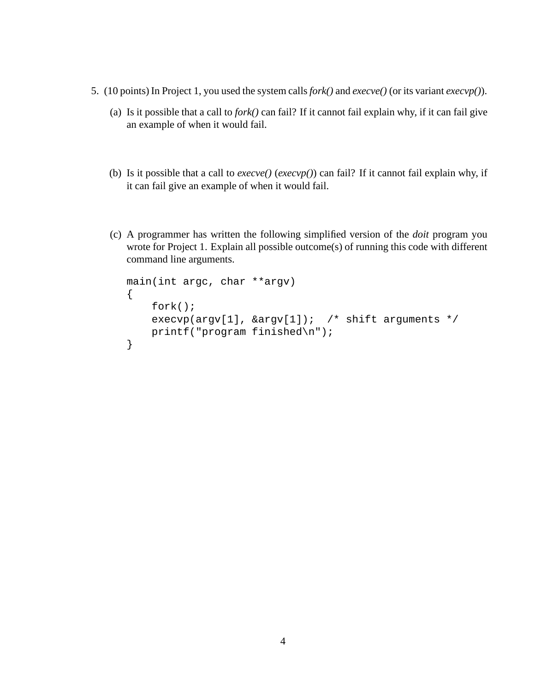- 5. (10 points) In Project 1, you used the system calls*fork()* and *execve()* (or its variant *execvp()*).
	- (a) Is it possible that a call to *fork()* can fail? If it cannot fail explain why, if it can fail give an example of when it would fail.
	- (b) Is it possible that a call to *execve()* (*execvp()*) can fail? If it cannot fail explain why, if it can fail give an example of when it would fail.
	- (c) A programmer has written the following simplified version of the *doit* program you wrote for Project 1. Explain all possible outcome(s) of running this code with different command line arguments.

```
main(int argc, char **argv)
{
    fork();
    execvp(argv[1], &argv[1]); /* shift arguments */
    printf("program finished\n");
}
```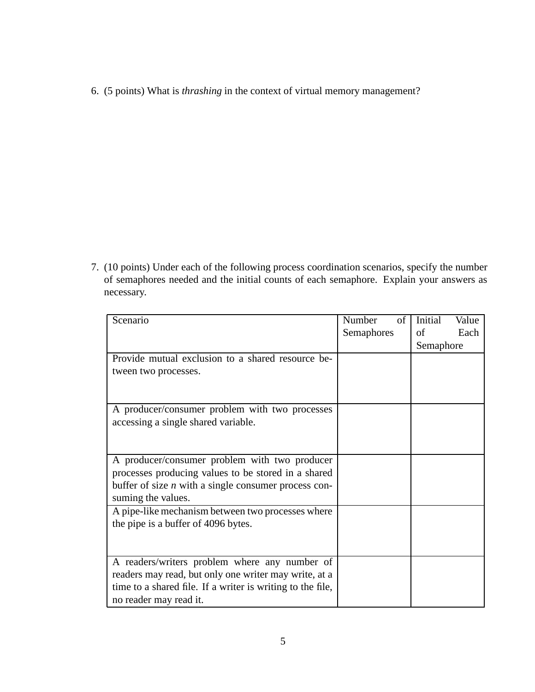6. (5 points) What is *thrashing* in the context of virtual memory management?

7. (10 points) Under each of the following process coordination scenarios, specify the number of semaphores needed and the initial counts of each semaphore. Explain your answers as necessary.

| Scenario                                                   | Number<br>of | Initial   | Value |
|------------------------------------------------------------|--------------|-----------|-------|
|                                                            | Semaphores   | of        | Each  |
|                                                            |              | Semaphore |       |
| Provide mutual exclusion to a shared resource be-          |              |           |       |
| tween two processes.                                       |              |           |       |
|                                                            |              |           |       |
|                                                            |              |           |       |
| A producer/consumer problem with two processes             |              |           |       |
| accessing a single shared variable.                        |              |           |       |
|                                                            |              |           |       |
|                                                            |              |           |       |
| A producer/consumer problem with two producer              |              |           |       |
| processes producing values to be stored in a shared        |              |           |       |
| buffer of size $n$ with a single consumer process con-     |              |           |       |
| suming the values.                                         |              |           |       |
| A pipe-like mechanism between two processes where          |              |           |       |
| the pipe is a buffer of 4096 bytes.                        |              |           |       |
|                                                            |              |           |       |
|                                                            |              |           |       |
| A readers/writers problem where any number of              |              |           |       |
| readers may read, but only one writer may write, at a      |              |           |       |
| time to a shared file. If a writer is writing to the file, |              |           |       |
| no reader may read it.                                     |              |           |       |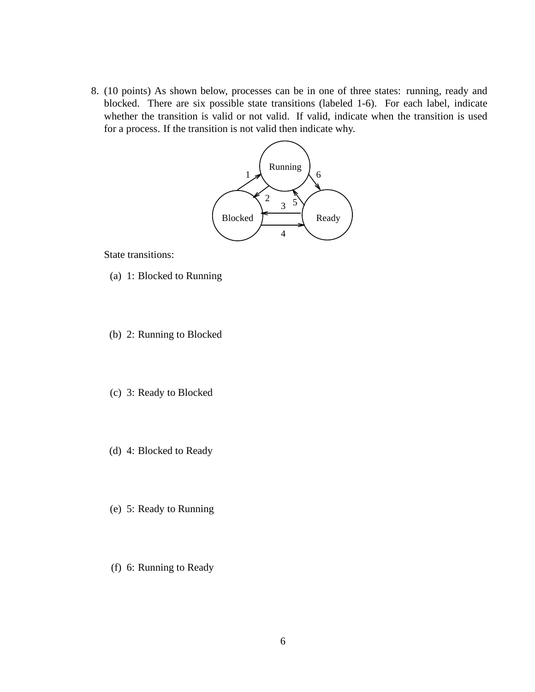8. (10 points) As shown below, processes can be in one of three states: running, ready and blocked. There are six possible state transitions (labeled 1-6). For each label, indicate whether the transition is valid or not valid. If valid, indicate when the transition is used for a process. If the transition is not valid then indicate why.



State transitions:

- (a) 1: Blocked to Running
- (b) 2: Running to Blocked
- (c) 3: Ready to Blocked
- (d) 4: Blocked to Ready
- (e) 5: Ready to Running
- (f) 6: Running to Ready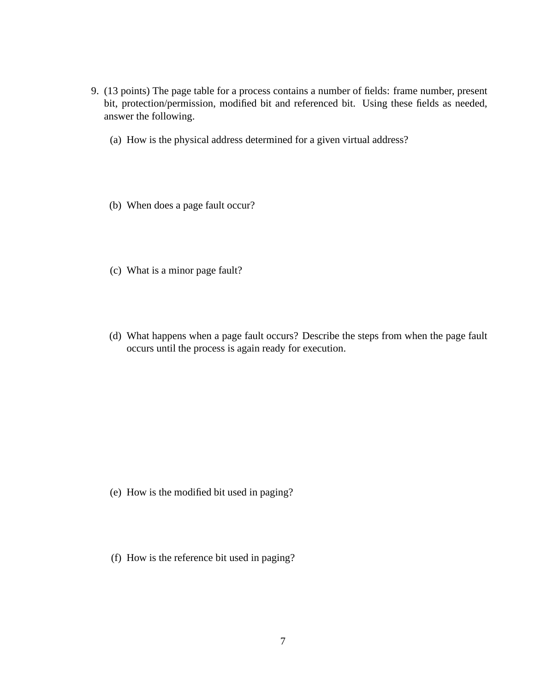- 9. (13 points) The page table for a process contains a number of fields: frame number, present bit, protection/permission, modified bit and referenced bit. Using these fields as needed, answer the following.
	- (a) How is the physical address determined for a given virtual address?
	- (b) When does a page fault occur?
	- (c) What is a minor page fault?
	- (d) What happens when a page fault occurs? Describe the steps from when the page fault occurs until the process is again ready for execution.

- (e) How is the modified bit used in paging?
- (f) How is the reference bit used in paging?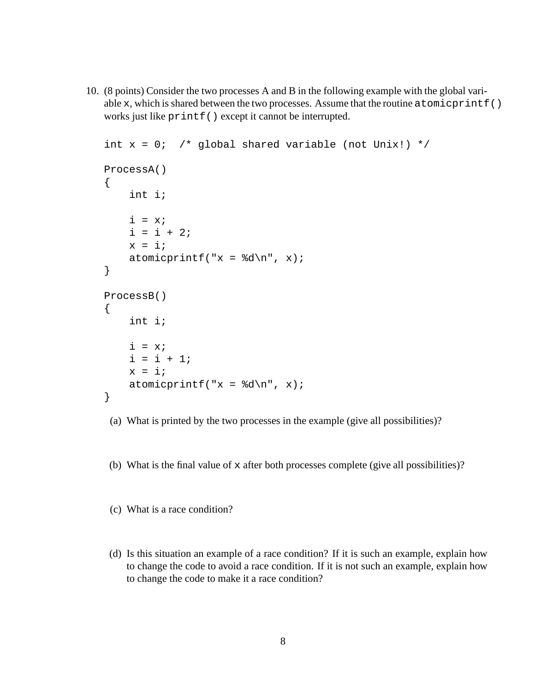10. (8 points) Consider the two processes A and B in the following example with the global variable x, which is shared between the two processes. Assume that the routine atomicprintf() works just like printf() except it cannot be interrupted.

```
int x = 0; /* global shared variable (not Unix!) */
ProcessA()
{
    int i;
    i = x;i = i + 2ix = i;atomicprintf("x = %d \n\pi", x);
}
ProcessB()
{
    int i;
    i = x;i = i + 1;x = i;atomicprintf("x = %d \n\pi", x);
}
```
- (a) What is printed by the two processes in the example (give all possibilities)?
- (b) What is the final value of x after both processes complete (give all possibilities)?
- (c) What is a race condition?
- (d) Is this situation an example of a race condition? If it is such an example, explain how to change the code to avoid a race condition. If it is not such an example, explain how to change the code to make it a race condition?